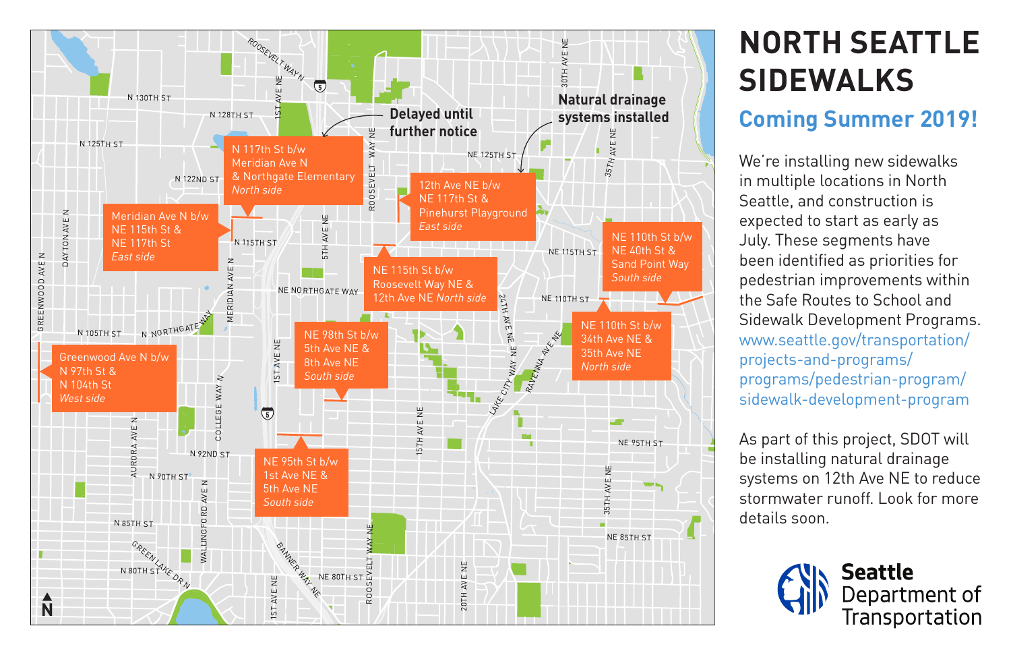

## **NORTH SEATTLE SIDEWALKS**

## **Coming Summer 2019!**

We're installing new sidewalks in multiple locations in North Seattle, and construction is expected to start as early as July. These segments have been identified as priorities for pedestrian improvements within the Safe Routes to School and Sidewalk Development Programs. www.seattle.gov/transportation/ projects-and-programs/ programs/pedestrian-program/ sidewalk-development-program

As part of this project, SDOT will be installing natural drainage systems on 12th Ave NE to reduce stormwater runoff. Look for more details soon.